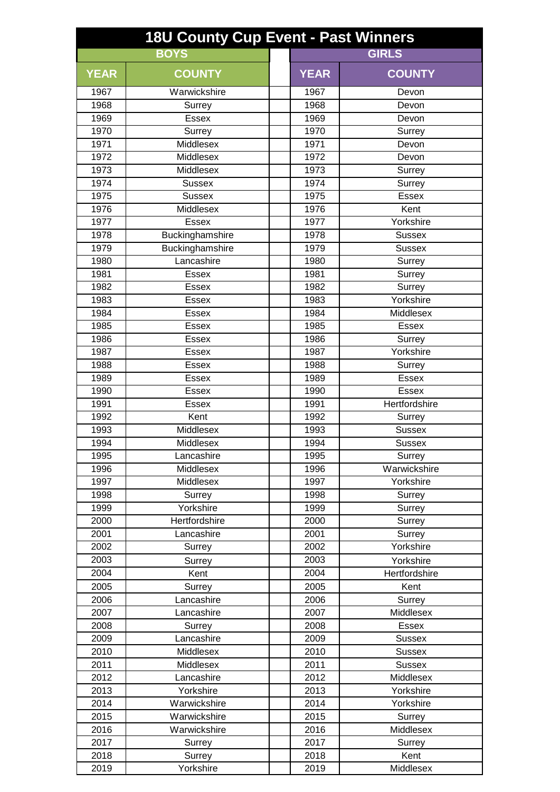| <b>GIRLS</b><br><b>BOYS</b><br><b>YEAR</b><br><b>COUNTY</b><br><b>YEAR</b><br><b>COUNTY</b><br>1967<br>Warwickshire<br>1967<br>Devon<br>1968<br>1968<br>Surrey<br>Devon<br>1969<br>1969<br><b>Essex</b><br>Devon<br>1970<br>Surrey<br>1970<br>Surrey<br>1971<br>Middlesex<br>1971<br>Devon<br>1972<br>Middlesex<br>1972<br>Devon<br>1973<br>Middlesex<br>1973<br>Surrey<br>1974<br>1974<br><b>Sussex</b><br>Surrey<br>1975<br>Essex<br>Sussex<br>1975<br>1976<br>Middlesex<br>1976<br>Kent<br>Yorkshire<br>1977<br><b>Essex</b><br>1977<br>1978<br>Buckinghamshire<br>1978<br><b>Sussex</b><br>Buckinghamshire<br>1979<br>1979<br><b>Sussex</b><br>Lancashire<br>1980<br>1980<br>Surrey<br>1981<br>1981<br><b>Essex</b><br>Surrey<br>1982<br>1982<br>Essex<br>Surrey<br>Yorkshire<br>1983<br>1983<br><b>Essex</b><br>Middlesex<br>1984<br><b>Essex</b><br>1984<br>1985<br><b>Essex</b><br>1985<br>Essex<br>1986<br>1986<br><b>Essex</b><br>Surrey<br>Yorkshire<br>1987<br>1987<br><b>Essex</b><br>1988<br><b>Essex</b><br>1988<br>Surrey<br>1989<br>1989<br><b>Essex</b><br><b>Essex</b><br>1990<br><b>Essex</b><br>1990<br><b>Essex</b><br>1991<br>1991<br>Hertfordshire<br><b>Essex</b><br>1992<br>Kent<br>1992<br>Surrey<br>1993<br>Middlesex<br>1993<br><b>Sussex</b><br>1994<br>1994<br>Middlesex<br><b>Sussex</b><br>1995<br>Lancashire<br>1995<br>Surrey<br>Warwickshire<br>1996<br>1996<br>Middlesex<br>1997<br>Middlesex<br>1997<br>Yorkshire<br>1998<br>1998<br>Surrey<br>Surrey<br>Yorkshire<br>1999<br>1999<br>Surrey<br>2000<br>Hertfordshire<br>2000<br>Surrey<br>2001<br>Lancashire<br>2001<br>Surrey<br>Yorkshire<br>2002<br>2002<br>Surrey<br>2003<br>2003<br>Yorkshire<br>Surrey<br>2004<br>2004<br>Kent<br>Hertfordshire<br>2005<br>2005<br>Surrey<br>Kent<br>2006<br>Lancashire<br>2006<br>Surrey<br>2007<br>2007<br>Lancashire<br>Middlesex | <b>18U County Cup Event - Past Winners</b> |  |  |  |  |  |  |
|------------------------------------------------------------------------------------------------------------------------------------------------------------------------------------------------------------------------------------------------------------------------------------------------------------------------------------------------------------------------------------------------------------------------------------------------------------------------------------------------------------------------------------------------------------------------------------------------------------------------------------------------------------------------------------------------------------------------------------------------------------------------------------------------------------------------------------------------------------------------------------------------------------------------------------------------------------------------------------------------------------------------------------------------------------------------------------------------------------------------------------------------------------------------------------------------------------------------------------------------------------------------------------------------------------------------------------------------------------------------------------------------------------------------------------------------------------------------------------------------------------------------------------------------------------------------------------------------------------------------------------------------------------------------------------------------------------------------------------------------------------------------------------------------------------------------------------------------------------------|--------------------------------------------|--|--|--|--|--|--|
|                                                                                                                                                                                                                                                                                                                                                                                                                                                                                                                                                                                                                                                                                                                                                                                                                                                                                                                                                                                                                                                                                                                                                                                                                                                                                                                                                                                                                                                                                                                                                                                                                                                                                                                                                                                                                                                                  |                                            |  |  |  |  |  |  |
|                                                                                                                                                                                                                                                                                                                                                                                                                                                                                                                                                                                                                                                                                                                                                                                                                                                                                                                                                                                                                                                                                                                                                                                                                                                                                                                                                                                                                                                                                                                                                                                                                                                                                                                                                                                                                                                                  |                                            |  |  |  |  |  |  |
|                                                                                                                                                                                                                                                                                                                                                                                                                                                                                                                                                                                                                                                                                                                                                                                                                                                                                                                                                                                                                                                                                                                                                                                                                                                                                                                                                                                                                                                                                                                                                                                                                                                                                                                                                                                                                                                                  |                                            |  |  |  |  |  |  |
|                                                                                                                                                                                                                                                                                                                                                                                                                                                                                                                                                                                                                                                                                                                                                                                                                                                                                                                                                                                                                                                                                                                                                                                                                                                                                                                                                                                                                                                                                                                                                                                                                                                                                                                                                                                                                                                                  |                                            |  |  |  |  |  |  |
|                                                                                                                                                                                                                                                                                                                                                                                                                                                                                                                                                                                                                                                                                                                                                                                                                                                                                                                                                                                                                                                                                                                                                                                                                                                                                                                                                                                                                                                                                                                                                                                                                                                                                                                                                                                                                                                                  |                                            |  |  |  |  |  |  |
|                                                                                                                                                                                                                                                                                                                                                                                                                                                                                                                                                                                                                                                                                                                                                                                                                                                                                                                                                                                                                                                                                                                                                                                                                                                                                                                                                                                                                                                                                                                                                                                                                                                                                                                                                                                                                                                                  |                                            |  |  |  |  |  |  |
|                                                                                                                                                                                                                                                                                                                                                                                                                                                                                                                                                                                                                                                                                                                                                                                                                                                                                                                                                                                                                                                                                                                                                                                                                                                                                                                                                                                                                                                                                                                                                                                                                                                                                                                                                                                                                                                                  |                                            |  |  |  |  |  |  |
|                                                                                                                                                                                                                                                                                                                                                                                                                                                                                                                                                                                                                                                                                                                                                                                                                                                                                                                                                                                                                                                                                                                                                                                                                                                                                                                                                                                                                                                                                                                                                                                                                                                                                                                                                                                                                                                                  |                                            |  |  |  |  |  |  |
|                                                                                                                                                                                                                                                                                                                                                                                                                                                                                                                                                                                                                                                                                                                                                                                                                                                                                                                                                                                                                                                                                                                                                                                                                                                                                                                                                                                                                                                                                                                                                                                                                                                                                                                                                                                                                                                                  |                                            |  |  |  |  |  |  |
|                                                                                                                                                                                                                                                                                                                                                                                                                                                                                                                                                                                                                                                                                                                                                                                                                                                                                                                                                                                                                                                                                                                                                                                                                                                                                                                                                                                                                                                                                                                                                                                                                                                                                                                                                                                                                                                                  |                                            |  |  |  |  |  |  |
|                                                                                                                                                                                                                                                                                                                                                                                                                                                                                                                                                                                                                                                                                                                                                                                                                                                                                                                                                                                                                                                                                                                                                                                                                                                                                                                                                                                                                                                                                                                                                                                                                                                                                                                                                                                                                                                                  |                                            |  |  |  |  |  |  |
|                                                                                                                                                                                                                                                                                                                                                                                                                                                                                                                                                                                                                                                                                                                                                                                                                                                                                                                                                                                                                                                                                                                                                                                                                                                                                                                                                                                                                                                                                                                                                                                                                                                                                                                                                                                                                                                                  |                                            |  |  |  |  |  |  |
|                                                                                                                                                                                                                                                                                                                                                                                                                                                                                                                                                                                                                                                                                                                                                                                                                                                                                                                                                                                                                                                                                                                                                                                                                                                                                                                                                                                                                                                                                                                                                                                                                                                                                                                                                                                                                                                                  |                                            |  |  |  |  |  |  |
|                                                                                                                                                                                                                                                                                                                                                                                                                                                                                                                                                                                                                                                                                                                                                                                                                                                                                                                                                                                                                                                                                                                                                                                                                                                                                                                                                                                                                                                                                                                                                                                                                                                                                                                                                                                                                                                                  |                                            |  |  |  |  |  |  |
|                                                                                                                                                                                                                                                                                                                                                                                                                                                                                                                                                                                                                                                                                                                                                                                                                                                                                                                                                                                                                                                                                                                                                                                                                                                                                                                                                                                                                                                                                                                                                                                                                                                                                                                                                                                                                                                                  |                                            |  |  |  |  |  |  |
|                                                                                                                                                                                                                                                                                                                                                                                                                                                                                                                                                                                                                                                                                                                                                                                                                                                                                                                                                                                                                                                                                                                                                                                                                                                                                                                                                                                                                                                                                                                                                                                                                                                                                                                                                                                                                                                                  |                                            |  |  |  |  |  |  |
|                                                                                                                                                                                                                                                                                                                                                                                                                                                                                                                                                                                                                                                                                                                                                                                                                                                                                                                                                                                                                                                                                                                                                                                                                                                                                                                                                                                                                                                                                                                                                                                                                                                                                                                                                                                                                                                                  |                                            |  |  |  |  |  |  |
|                                                                                                                                                                                                                                                                                                                                                                                                                                                                                                                                                                                                                                                                                                                                                                                                                                                                                                                                                                                                                                                                                                                                                                                                                                                                                                                                                                                                                                                                                                                                                                                                                                                                                                                                                                                                                                                                  |                                            |  |  |  |  |  |  |
|                                                                                                                                                                                                                                                                                                                                                                                                                                                                                                                                                                                                                                                                                                                                                                                                                                                                                                                                                                                                                                                                                                                                                                                                                                                                                                                                                                                                                                                                                                                                                                                                                                                                                                                                                                                                                                                                  |                                            |  |  |  |  |  |  |
|                                                                                                                                                                                                                                                                                                                                                                                                                                                                                                                                                                                                                                                                                                                                                                                                                                                                                                                                                                                                                                                                                                                                                                                                                                                                                                                                                                                                                                                                                                                                                                                                                                                                                                                                                                                                                                                                  |                                            |  |  |  |  |  |  |
|                                                                                                                                                                                                                                                                                                                                                                                                                                                                                                                                                                                                                                                                                                                                                                                                                                                                                                                                                                                                                                                                                                                                                                                                                                                                                                                                                                                                                                                                                                                                                                                                                                                                                                                                                                                                                                                                  |                                            |  |  |  |  |  |  |
|                                                                                                                                                                                                                                                                                                                                                                                                                                                                                                                                                                                                                                                                                                                                                                                                                                                                                                                                                                                                                                                                                                                                                                                                                                                                                                                                                                                                                                                                                                                                                                                                                                                                                                                                                                                                                                                                  |                                            |  |  |  |  |  |  |
|                                                                                                                                                                                                                                                                                                                                                                                                                                                                                                                                                                                                                                                                                                                                                                                                                                                                                                                                                                                                                                                                                                                                                                                                                                                                                                                                                                                                                                                                                                                                                                                                                                                                                                                                                                                                                                                                  |                                            |  |  |  |  |  |  |
|                                                                                                                                                                                                                                                                                                                                                                                                                                                                                                                                                                                                                                                                                                                                                                                                                                                                                                                                                                                                                                                                                                                                                                                                                                                                                                                                                                                                                                                                                                                                                                                                                                                                                                                                                                                                                                                                  |                                            |  |  |  |  |  |  |
|                                                                                                                                                                                                                                                                                                                                                                                                                                                                                                                                                                                                                                                                                                                                                                                                                                                                                                                                                                                                                                                                                                                                                                                                                                                                                                                                                                                                                                                                                                                                                                                                                                                                                                                                                                                                                                                                  |                                            |  |  |  |  |  |  |
|                                                                                                                                                                                                                                                                                                                                                                                                                                                                                                                                                                                                                                                                                                                                                                                                                                                                                                                                                                                                                                                                                                                                                                                                                                                                                                                                                                                                                                                                                                                                                                                                                                                                                                                                                                                                                                                                  |                                            |  |  |  |  |  |  |
|                                                                                                                                                                                                                                                                                                                                                                                                                                                                                                                                                                                                                                                                                                                                                                                                                                                                                                                                                                                                                                                                                                                                                                                                                                                                                                                                                                                                                                                                                                                                                                                                                                                                                                                                                                                                                                                                  |                                            |  |  |  |  |  |  |
|                                                                                                                                                                                                                                                                                                                                                                                                                                                                                                                                                                                                                                                                                                                                                                                                                                                                                                                                                                                                                                                                                                                                                                                                                                                                                                                                                                                                                                                                                                                                                                                                                                                                                                                                                                                                                                                                  |                                            |  |  |  |  |  |  |
|                                                                                                                                                                                                                                                                                                                                                                                                                                                                                                                                                                                                                                                                                                                                                                                                                                                                                                                                                                                                                                                                                                                                                                                                                                                                                                                                                                                                                                                                                                                                                                                                                                                                                                                                                                                                                                                                  |                                            |  |  |  |  |  |  |
|                                                                                                                                                                                                                                                                                                                                                                                                                                                                                                                                                                                                                                                                                                                                                                                                                                                                                                                                                                                                                                                                                                                                                                                                                                                                                                                                                                                                                                                                                                                                                                                                                                                                                                                                                                                                                                                                  |                                            |  |  |  |  |  |  |
|                                                                                                                                                                                                                                                                                                                                                                                                                                                                                                                                                                                                                                                                                                                                                                                                                                                                                                                                                                                                                                                                                                                                                                                                                                                                                                                                                                                                                                                                                                                                                                                                                                                                                                                                                                                                                                                                  |                                            |  |  |  |  |  |  |
|                                                                                                                                                                                                                                                                                                                                                                                                                                                                                                                                                                                                                                                                                                                                                                                                                                                                                                                                                                                                                                                                                                                                                                                                                                                                                                                                                                                                                                                                                                                                                                                                                                                                                                                                                                                                                                                                  |                                            |  |  |  |  |  |  |
|                                                                                                                                                                                                                                                                                                                                                                                                                                                                                                                                                                                                                                                                                                                                                                                                                                                                                                                                                                                                                                                                                                                                                                                                                                                                                                                                                                                                                                                                                                                                                                                                                                                                                                                                                                                                                                                                  |                                            |  |  |  |  |  |  |
|                                                                                                                                                                                                                                                                                                                                                                                                                                                                                                                                                                                                                                                                                                                                                                                                                                                                                                                                                                                                                                                                                                                                                                                                                                                                                                                                                                                                                                                                                                                                                                                                                                                                                                                                                                                                                                                                  |                                            |  |  |  |  |  |  |
|                                                                                                                                                                                                                                                                                                                                                                                                                                                                                                                                                                                                                                                                                                                                                                                                                                                                                                                                                                                                                                                                                                                                                                                                                                                                                                                                                                                                                                                                                                                                                                                                                                                                                                                                                                                                                                                                  |                                            |  |  |  |  |  |  |
|                                                                                                                                                                                                                                                                                                                                                                                                                                                                                                                                                                                                                                                                                                                                                                                                                                                                                                                                                                                                                                                                                                                                                                                                                                                                                                                                                                                                                                                                                                                                                                                                                                                                                                                                                                                                                                                                  |                                            |  |  |  |  |  |  |
|                                                                                                                                                                                                                                                                                                                                                                                                                                                                                                                                                                                                                                                                                                                                                                                                                                                                                                                                                                                                                                                                                                                                                                                                                                                                                                                                                                                                                                                                                                                                                                                                                                                                                                                                                                                                                                                                  |                                            |  |  |  |  |  |  |
|                                                                                                                                                                                                                                                                                                                                                                                                                                                                                                                                                                                                                                                                                                                                                                                                                                                                                                                                                                                                                                                                                                                                                                                                                                                                                                                                                                                                                                                                                                                                                                                                                                                                                                                                                                                                                                                                  |                                            |  |  |  |  |  |  |
|                                                                                                                                                                                                                                                                                                                                                                                                                                                                                                                                                                                                                                                                                                                                                                                                                                                                                                                                                                                                                                                                                                                                                                                                                                                                                                                                                                                                                                                                                                                                                                                                                                                                                                                                                                                                                                                                  |                                            |  |  |  |  |  |  |
|                                                                                                                                                                                                                                                                                                                                                                                                                                                                                                                                                                                                                                                                                                                                                                                                                                                                                                                                                                                                                                                                                                                                                                                                                                                                                                                                                                                                                                                                                                                                                                                                                                                                                                                                                                                                                                                                  |                                            |  |  |  |  |  |  |
|                                                                                                                                                                                                                                                                                                                                                                                                                                                                                                                                                                                                                                                                                                                                                                                                                                                                                                                                                                                                                                                                                                                                                                                                                                                                                                                                                                                                                                                                                                                                                                                                                                                                                                                                                                                                                                                                  |                                            |  |  |  |  |  |  |
|                                                                                                                                                                                                                                                                                                                                                                                                                                                                                                                                                                                                                                                                                                                                                                                                                                                                                                                                                                                                                                                                                                                                                                                                                                                                                                                                                                                                                                                                                                                                                                                                                                                                                                                                                                                                                                                                  |                                            |  |  |  |  |  |  |
|                                                                                                                                                                                                                                                                                                                                                                                                                                                                                                                                                                                                                                                                                                                                                                                                                                                                                                                                                                                                                                                                                                                                                                                                                                                                                                                                                                                                                                                                                                                                                                                                                                                                                                                                                                                                                                                                  |                                            |  |  |  |  |  |  |
| 2008<br>2008<br><b>Essex</b><br>Surrey                                                                                                                                                                                                                                                                                                                                                                                                                                                                                                                                                                                                                                                                                                                                                                                                                                                                                                                                                                                                                                                                                                                                                                                                                                                                                                                                                                                                                                                                                                                                                                                                                                                                                                                                                                                                                           |                                            |  |  |  |  |  |  |
| 2009<br>Lancashire<br>2009<br><b>Sussex</b>                                                                                                                                                                                                                                                                                                                                                                                                                                                                                                                                                                                                                                                                                                                                                                                                                                                                                                                                                                                                                                                                                                                                                                                                                                                                                                                                                                                                                                                                                                                                                                                                                                                                                                                                                                                                                      |                                            |  |  |  |  |  |  |
| 2010<br>Middlesex<br>2010<br><b>Sussex</b>                                                                                                                                                                                                                                                                                                                                                                                                                                                                                                                                                                                                                                                                                                                                                                                                                                                                                                                                                                                                                                                                                                                                                                                                                                                                                                                                                                                                                                                                                                                                                                                                                                                                                                                                                                                                                       |                                            |  |  |  |  |  |  |
| 2011<br>2011<br>Middlesex<br><b>Sussex</b>                                                                                                                                                                                                                                                                                                                                                                                                                                                                                                                                                                                                                                                                                                                                                                                                                                                                                                                                                                                                                                                                                                                                                                                                                                                                                                                                                                                                                                                                                                                                                                                                                                                                                                                                                                                                                       |                                            |  |  |  |  |  |  |
| 2012<br>Lancashire<br>2012<br>Middlesex                                                                                                                                                                                                                                                                                                                                                                                                                                                                                                                                                                                                                                                                                                                                                                                                                                                                                                                                                                                                                                                                                                                                                                                                                                                                                                                                                                                                                                                                                                                                                                                                                                                                                                                                                                                                                          |                                            |  |  |  |  |  |  |
| 2013<br>Yorkshire<br>2013<br>Yorkshire<br>2014<br>Warwickshire<br>2014<br>Yorkshire                                                                                                                                                                                                                                                                                                                                                                                                                                                                                                                                                                                                                                                                                                                                                                                                                                                                                                                                                                                                                                                                                                                                                                                                                                                                                                                                                                                                                                                                                                                                                                                                                                                                                                                                                                              |                                            |  |  |  |  |  |  |
|                                                                                                                                                                                                                                                                                                                                                                                                                                                                                                                                                                                                                                                                                                                                                                                                                                                                                                                                                                                                                                                                                                                                                                                                                                                                                                                                                                                                                                                                                                                                                                                                                                                                                                                                                                                                                                                                  |                                            |  |  |  |  |  |  |
| 2015<br>Warwickshire<br>2015<br>Surrey                                                                                                                                                                                                                                                                                                                                                                                                                                                                                                                                                                                                                                                                                                                                                                                                                                                                                                                                                                                                                                                                                                                                                                                                                                                                                                                                                                                                                                                                                                                                                                                                                                                                                                                                                                                                                           |                                            |  |  |  |  |  |  |
| 2016<br>Warwickshire<br>2016<br>Middlesex<br>2017<br>2017                                                                                                                                                                                                                                                                                                                                                                                                                                                                                                                                                                                                                                                                                                                                                                                                                                                                                                                                                                                                                                                                                                                                                                                                                                                                                                                                                                                                                                                                                                                                                                                                                                                                                                                                                                                                        |                                            |  |  |  |  |  |  |
| Surrey<br>Surrey<br>2018<br>2018<br>Kent<br>Surrey                                                                                                                                                                                                                                                                                                                                                                                                                                                                                                                                                                                                                                                                                                                                                                                                                                                                                                                                                                                                                                                                                                                                                                                                                                                                                                                                                                                                                                                                                                                                                                                                                                                                                                                                                                                                               |                                            |  |  |  |  |  |  |
| 2019<br>Yorkshire<br>2019<br>Middlesex                                                                                                                                                                                                                                                                                                                                                                                                                                                                                                                                                                                                                                                                                                                                                                                                                                                                                                                                                                                                                                                                                                                                                                                                                                                                                                                                                                                                                                                                                                                                                                                                                                                                                                                                                                                                                           |                                            |  |  |  |  |  |  |